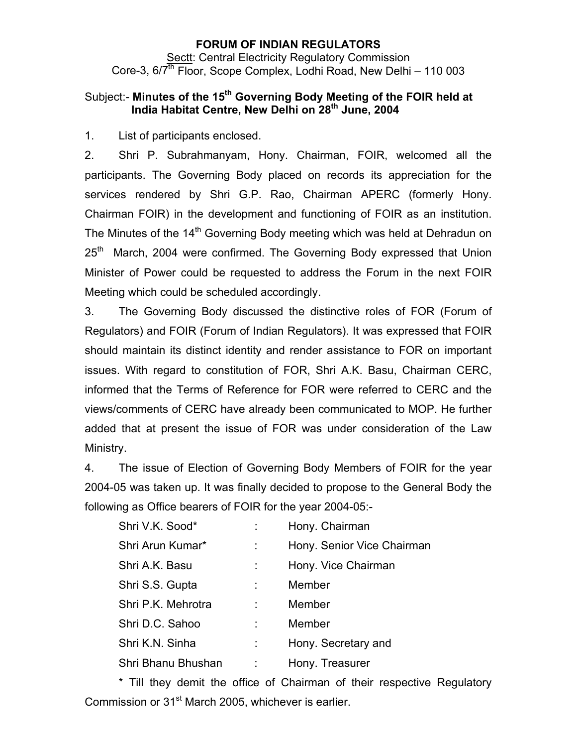### **FORUM OF INDIAN REGULATORS**  Sectt: Central Electricity Regulatory Commission Core-3,  $6/7^{\text{th}}$  Floor, Scope Complex, Lodhi Road, New Delhi – 110 003

# Subject:- **Minutes of the 15th Governing Body Meeting of the FOIR held at India Habitat Centre, New Delhi on 28th June, 2004**

1. List of participants enclosed.

2. Shri P. Subrahmanyam, Hony. Chairman, FOIR, welcomed all the participants. The Governing Body placed on records its appreciation for the services rendered by Shri G.P. Rao, Chairman APERC (formerly Hony. Chairman FOIR) in the development and functioning of FOIR as an institution. The Minutes of the 14<sup>th</sup> Governing Body meeting which was held at Dehradun on 25<sup>th</sup> March, 2004 were confirmed. The Governing Body expressed that Union Minister of Power could be requested to address the Forum in the next FOIR Meeting which could be scheduled accordingly.

3. The Governing Body discussed the distinctive roles of FOR (Forum of Regulators) and FOIR (Forum of Indian Regulators). It was expressed that FOIR should maintain its distinct identity and render assistance to FOR on important issues. With regard to constitution of FOR, Shri A.K. Basu, Chairman CERC, informed that the Terms of Reference for FOR were referred to CERC and the views/comments of CERC have already been communicated to MOP. He further added that at present the issue of FOR was under consideration of the Law Ministry.

4. The issue of Election of Governing Body Members of FOIR for the year 2004-05 was taken up. It was finally decided to propose to the General Body the following as Office bearers of FOIR for the year 2004-05:-

| Shri V.K. Sood*    | Hony. Chairman             |
|--------------------|----------------------------|
| Shri Arun Kumar*   | Hony. Senior Vice Chairman |
| Shri A.K. Basu     | Hony. Vice Chairman        |
| Shri S.S. Gupta    | Member                     |
| Shri P.K. Mehrotra | Member                     |
| Shri D.C. Sahoo    | Member                     |
| Shri K.N. Sinha    | Hony. Secretary and        |
| Shri Bhanu Bhushan | Hony. Treasurer            |
|                    |                            |

 \* Till they demit the office of Chairman of their respective Regulatory Commission or 31<sup>st</sup> March 2005, whichever is earlier.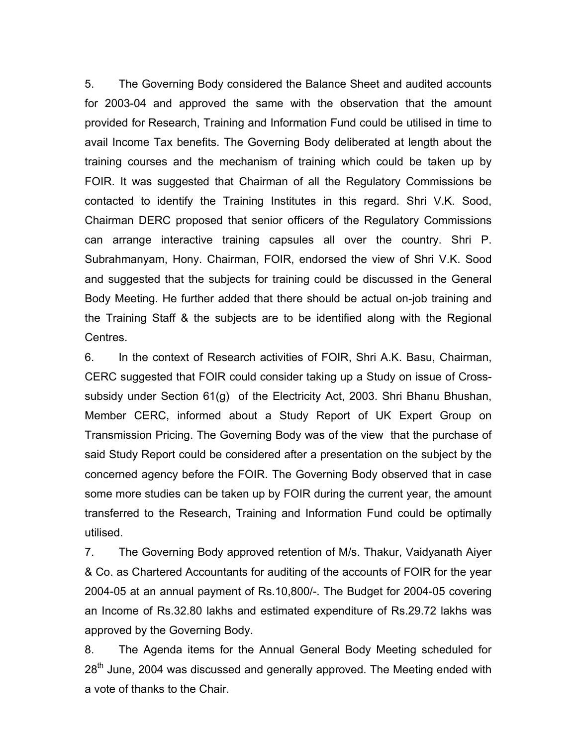5. The Governing Body considered the Balance Sheet and audited accounts for 2003-04 and approved the same with the observation that the amount provided for Research, Training and Information Fund could be utilised in time to avail Income Tax benefits. The Governing Body deliberated at length about the training courses and the mechanism of training which could be taken up by FOIR. It was suggested that Chairman of all the Regulatory Commissions be contacted to identify the Training Institutes in this regard. Shri V.K. Sood, Chairman DERC proposed that senior officers of the Regulatory Commissions can arrange interactive training capsules all over the country. Shri P. Subrahmanyam, Hony. Chairman, FOIR, endorsed the view of Shri V.K. Sood and suggested that the subjects for training could be discussed in the General Body Meeting. He further added that there should be actual on-job training and the Training Staff & the subjects are to be identified along with the Regional Centres.

6. In the context of Research activities of FOIR, Shri A.K. Basu, Chairman, CERC suggested that FOIR could consider taking up a Study on issue of Crosssubsidy under Section 61(g) of the Electricity Act, 2003. Shri Bhanu Bhushan, Member CERC, informed about a Study Report of UK Expert Group on Transmission Pricing. The Governing Body was of the view that the purchase of said Study Report could be considered after a presentation on the subject by the concerned agency before the FOIR. The Governing Body observed that in case some more studies can be taken up by FOIR during the current year, the amount transferred to the Research, Training and Information Fund could be optimally utilised.

7. The Governing Body approved retention of M/s. Thakur, Vaidyanath Aiyer & Co. as Chartered Accountants for auditing of the accounts of FOIR for the year 2004-05 at an annual payment of Rs.10,800/-. The Budget for 2004-05 covering an Income of Rs.32.80 lakhs and estimated expenditure of Rs.29.72 lakhs was approved by the Governing Body.

8. The Agenda items for the Annual General Body Meeting scheduled for 28<sup>th</sup> June, 2004 was discussed and generally approved. The Meeting ended with a vote of thanks to the Chair.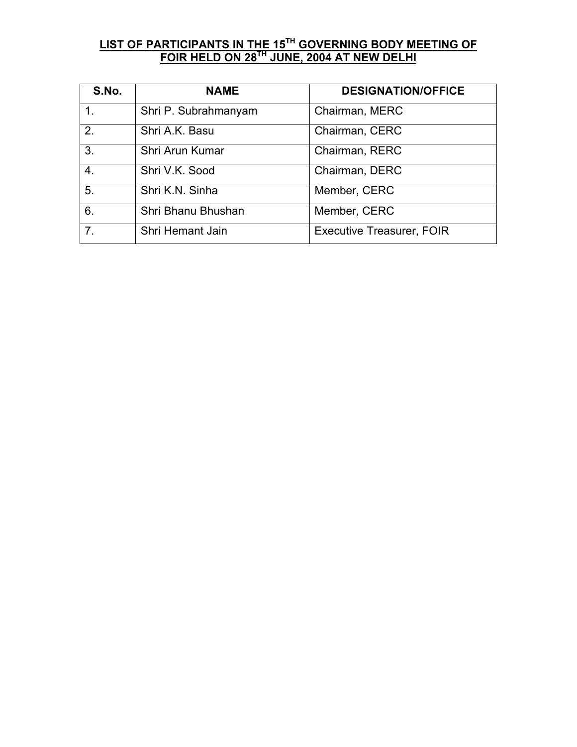## **LIST OF PARTICIPANTS IN THE 15TH GOVERNING BODY MEETING OF FOIR HELD ON 28TH JUNE, 2004 AT NEW DELHI**

| S.No.          | <b>NAME</b>          | <b>DESIGNATION/OFFICE</b>        |
|----------------|----------------------|----------------------------------|
| 1.             | Shri P. Subrahmanyam | Chairman, MERC                   |
| 2.             | Shri A.K. Basu       | Chairman, CERC                   |
| 3.             | Shri Arun Kumar      | Chairman, RERC                   |
| 4.             | Shri V.K. Sood       | Chairman, DERC                   |
| 5.             | Shri K.N. Sinha      | Member, CERC                     |
| 6.             | Shri Bhanu Bhushan   | Member, CERC                     |
| 7 <sub>1</sub> | Shri Hemant Jain     | <b>Executive Treasurer, FOIR</b> |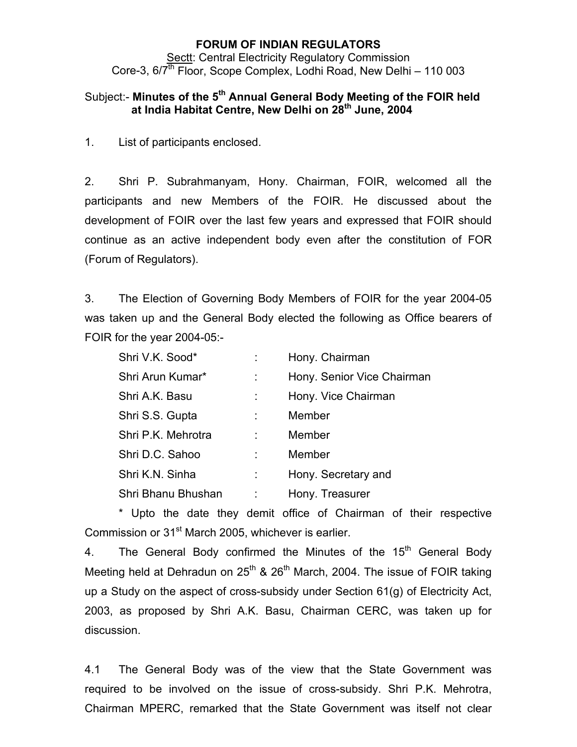### **FORUM OF INDIAN REGULATORS**  Sectt: Central Electricity Regulatory Commission Core-3,  $6/7^{\text{th}}$  Floor, Scope Complex, Lodhi Road, New Delhi – 110 003

### Subject:- **Minutes of the 5th Annual General Body Meeting of the FOIR held at India Habitat Centre, New Delhi on 28th June, 2004**

1. List of participants enclosed.

2. Shri P. Subrahmanyam, Hony. Chairman, FOIR, welcomed all the participants and new Members of the FOIR. He discussed about the development of FOIR over the last few years and expressed that FOIR should continue as an active independent body even after the constitution of FOR (Forum of Regulators).

3. The Election of Governing Body Members of FOIR for the year 2004-05 was taken up and the General Body elected the following as Office bearers of FOIR for the year 2004-05:-

| Shri V.K. Sood*    |   | Hony. Chairman             |
|--------------------|---|----------------------------|
| Shri Arun Kumar*   |   | Hony. Senior Vice Chairman |
| Shri A.K. Basu     |   | Hony. Vice Chairman        |
| Shri S.S. Gupta    |   | Member                     |
| Shri P.K. Mehrotra |   | Member                     |
| Shri D.C. Sahoo    |   | Member                     |
| Shri K.N. Sinha    | t | Hony. Secretary and        |
| Shri Bhanu Bhushan |   | Hony. Treasurer            |

 \* Upto the date they demit office of Chairman of their respective Commission or 31<sup>st</sup> March 2005, whichever is earlier.

4. The General Body confirmed the Minutes of the  $15<sup>th</sup>$  General Body Meeting held at Dehradun on  $25<sup>th</sup>$  &  $26<sup>th</sup>$  March, 2004. The issue of FOIR taking up a Study on the aspect of cross-subsidy under Section 61(g) of Electricity Act, 2003, as proposed by Shri A.K. Basu, Chairman CERC, was taken up for discussion.

4.1 The General Body was of the view that the State Government was required to be involved on the issue of cross-subsidy. Shri P.K. Mehrotra, Chairman MPERC, remarked that the State Government was itself not clear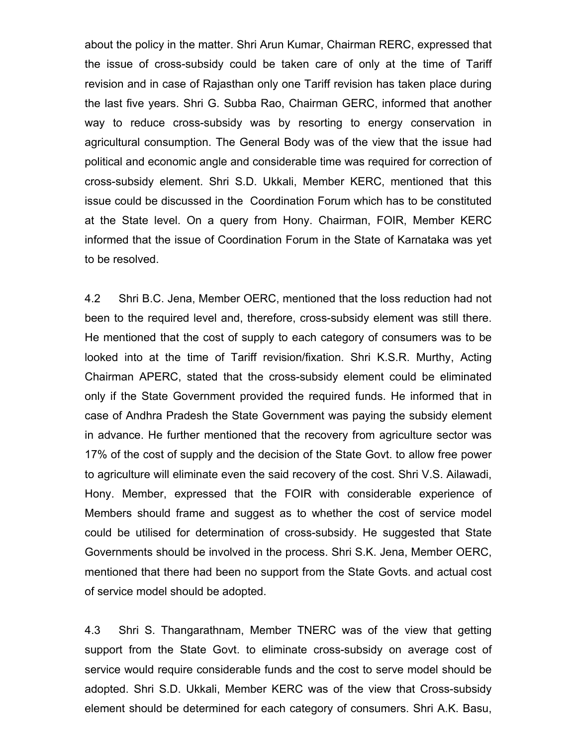about the policy in the matter. Shri Arun Kumar, Chairman RERC, expressed that the issue of cross-subsidy could be taken care of only at the time of Tariff revision and in case of Rajasthan only one Tariff revision has taken place during the last five years. Shri G. Subba Rao, Chairman GERC, informed that another way to reduce cross-subsidy was by resorting to energy conservation in agricultural consumption. The General Body was of the view that the issue had political and economic angle and considerable time was required for correction of cross-subsidy element. Shri S.D. Ukkali, Member KERC, mentioned that this issue could be discussed in the Coordination Forum which has to be constituted at the State level. On a query from Hony. Chairman, FOIR, Member KERC informed that the issue of Coordination Forum in the State of Karnataka was yet to be resolved.

4.2 Shri B.C. Jena, Member OERC, mentioned that the loss reduction had not been to the required level and, therefore, cross-subsidy element was still there. He mentioned that the cost of supply to each category of consumers was to be looked into at the time of Tariff revision/fixation. Shri K.S.R. Murthy, Acting Chairman APERC, stated that the cross-subsidy element could be eliminated only if the State Government provided the required funds. He informed that in case of Andhra Pradesh the State Government was paying the subsidy element in advance. He further mentioned that the recovery from agriculture sector was 17% of the cost of supply and the decision of the State Govt. to allow free power to agriculture will eliminate even the said recovery of the cost. Shri V.S. Ailawadi, Hony. Member, expressed that the FOIR with considerable experience of Members should frame and suggest as to whether the cost of service model could be utilised for determination of cross-subsidy. He suggested that State Governments should be involved in the process. Shri S.K. Jena, Member OERC, mentioned that there had been no support from the State Govts. and actual cost of service model should be adopted.

4.3 Shri S. Thangarathnam, Member TNERC was of the view that getting support from the State Govt. to eliminate cross-subsidy on average cost of service would require considerable funds and the cost to serve model should be adopted. Shri S.D. Ukkali, Member KERC was of the view that Cross-subsidy element should be determined for each category of consumers. Shri A.K. Basu,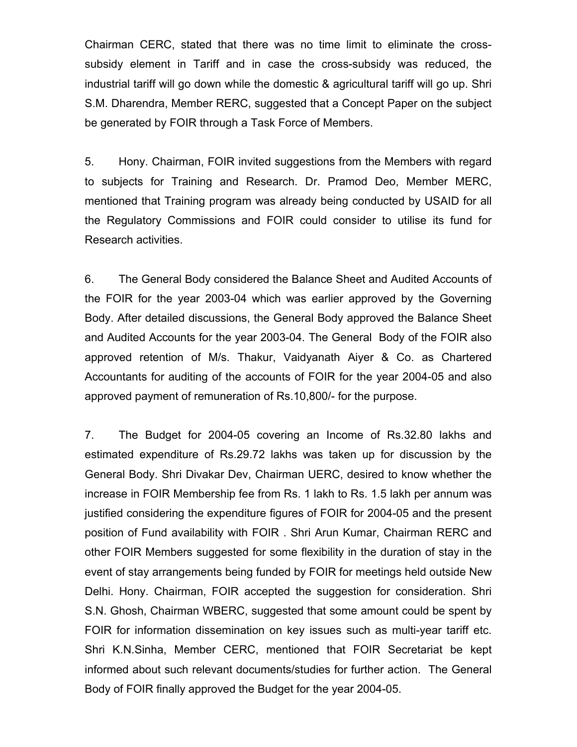Chairman CERC, stated that there was no time limit to eliminate the crosssubsidy element in Tariff and in case the cross-subsidy was reduced, the industrial tariff will go down while the domestic & agricultural tariff will go up. Shri S.M. Dharendra, Member RERC, suggested that a Concept Paper on the subject be generated by FOIR through a Task Force of Members.

5. Hony. Chairman, FOIR invited suggestions from the Members with regard to subjects for Training and Research. Dr. Pramod Deo, Member MERC, mentioned that Training program was already being conducted by USAID for all the Regulatory Commissions and FOIR could consider to utilise its fund for Research activities.

6. The General Body considered the Balance Sheet and Audited Accounts of the FOIR for the year 2003-04 which was earlier approved by the Governing Body. After detailed discussions, the General Body approved the Balance Sheet and Audited Accounts for the year 2003-04. The General Body of the FOIR also approved retention of M/s. Thakur, Vaidyanath Aiyer & Co. as Chartered Accountants for auditing of the accounts of FOIR for the year 2004-05 and also approved payment of remuneration of Rs.10,800/- for the purpose.

7. The Budget for 2004-05 covering an Income of Rs.32.80 lakhs and estimated expenditure of Rs.29.72 lakhs was taken up for discussion by the General Body. Shri Divakar Dev, Chairman UERC, desired to know whether the increase in FOIR Membership fee from Rs. 1 lakh to Rs. 1.5 lakh per annum was justified considering the expenditure figures of FOIR for 2004-05 and the present position of Fund availability with FOIR . Shri Arun Kumar, Chairman RERC and other FOIR Members suggested for some flexibility in the duration of stay in the event of stay arrangements being funded by FOIR for meetings held outside New Delhi. Hony. Chairman, FOIR accepted the suggestion for consideration. Shri S.N. Ghosh, Chairman WBERC, suggested that some amount could be spent by FOIR for information dissemination on key issues such as multi-year tariff etc. Shri K.N.Sinha, Member CERC, mentioned that FOIR Secretariat be kept informed about such relevant documents/studies for further action. The General Body of FOIR finally approved the Budget for the year 2004-05.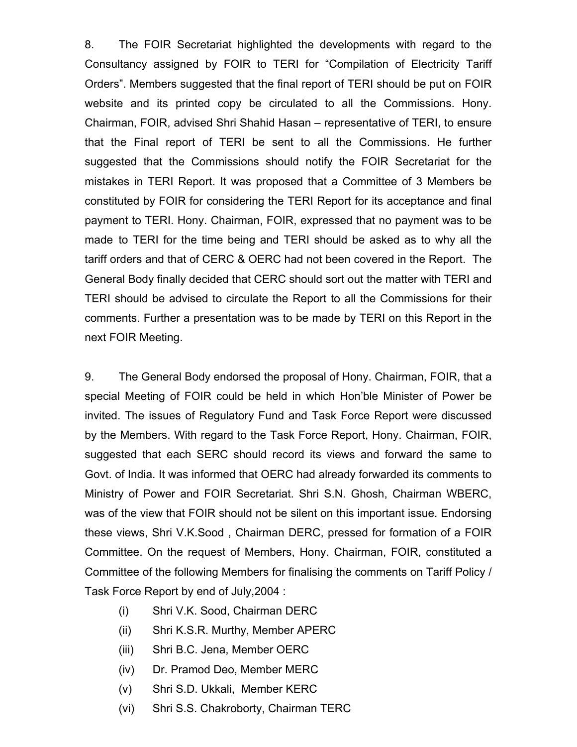8. The FOIR Secretariat highlighted the developments with regard to the Consultancy assigned by FOIR to TERI for "Compilation of Electricity Tariff Orders". Members suggested that the final report of TERI should be put on FOIR website and its printed copy be circulated to all the Commissions. Hony. Chairman, FOIR, advised Shri Shahid Hasan – representative of TERI, to ensure that the Final report of TERI be sent to all the Commissions. He further suggested that the Commissions should notify the FOIR Secretariat for the mistakes in TERI Report. It was proposed that a Committee of 3 Members be constituted by FOIR for considering the TERI Report for its acceptance and final payment to TERI. Hony. Chairman, FOIR, expressed that no payment was to be made to TERI for the time being and TERI should be asked as to why all the tariff orders and that of CERC & OERC had not been covered in the Report. The General Body finally decided that CERC should sort out the matter with TERI and TERI should be advised to circulate the Report to all the Commissions for their comments. Further a presentation was to be made by TERI on this Report in the next FOIR Meeting.

9. The General Body endorsed the proposal of Hony. Chairman, FOIR, that a special Meeting of FOIR could be held in which Hon'ble Minister of Power be invited. The issues of Regulatory Fund and Task Force Report were discussed by the Members. With regard to the Task Force Report, Hony. Chairman, FOIR, suggested that each SERC should record its views and forward the same to Govt. of India. It was informed that OERC had already forwarded its comments to Ministry of Power and FOIR Secretariat. Shri S.N. Ghosh, Chairman WBERC, was of the view that FOIR should not be silent on this important issue. Endorsing these views, Shri V.K.Sood , Chairman DERC, pressed for formation of a FOIR Committee. On the request of Members, Hony. Chairman, FOIR, constituted a Committee of the following Members for finalising the comments on Tariff Policy / Task Force Report by end of July,2004 :

- (i) Shri V.K. Sood, Chairman DERC
- (ii) Shri K.S.R. Murthy, Member APERC
- (iii) Shri B.C. Jena, Member OERC
- (iv) Dr. Pramod Deo, Member MERC
- (v) Shri S.D. Ukkali, Member KERC
- (vi) Shri S.S. Chakroborty, Chairman TERC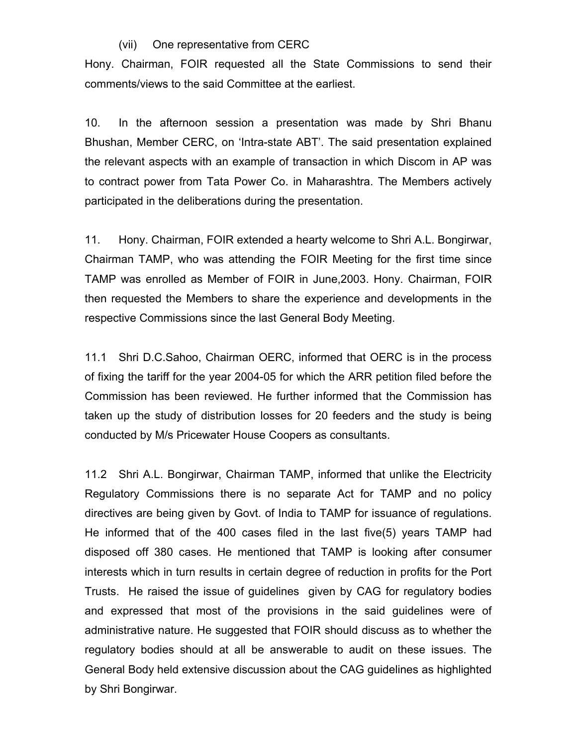#### (vii) One representative from CERC

Hony. Chairman, FOIR requested all the State Commissions to send their comments/views to the said Committee at the earliest.

10. In the afternoon session a presentation was made by Shri Bhanu Bhushan, Member CERC, on 'Intra-state ABT'. The said presentation explained the relevant aspects with an example of transaction in which Discom in AP was to contract power from Tata Power Co. in Maharashtra. The Members actively participated in the deliberations during the presentation.

11. Hony. Chairman, FOIR extended a hearty welcome to Shri A.L. Bongirwar, Chairman TAMP, who was attending the FOIR Meeting for the first time since TAMP was enrolled as Member of FOIR in June,2003. Hony. Chairman, FOIR then requested the Members to share the experience and developments in the respective Commissions since the last General Body Meeting.

11.1 Shri D.C.Sahoo, Chairman OERC, informed that OERC is in the process of fixing the tariff for the year 2004-05 for which the ARR petition filed before the Commission has been reviewed. He further informed that the Commission has taken up the study of distribution losses for 20 feeders and the study is being conducted by M/s Pricewater House Coopers as consultants.

11.2 Shri A.L. Bongirwar, Chairman TAMP, informed that unlike the Electricity Regulatory Commissions there is no separate Act for TAMP and no policy directives are being given by Govt. of India to TAMP for issuance of regulations. He informed that of the 400 cases filed in the last five(5) years TAMP had disposed off 380 cases. He mentioned that TAMP is looking after consumer interests which in turn results in certain degree of reduction in profits for the Port Trusts. He raised the issue of guidelines given by CAG for regulatory bodies and expressed that most of the provisions in the said guidelines were of administrative nature. He suggested that FOIR should discuss as to whether the regulatory bodies should at all be answerable to audit on these issues. The General Body held extensive discussion about the CAG guidelines as highlighted by Shri Bongirwar.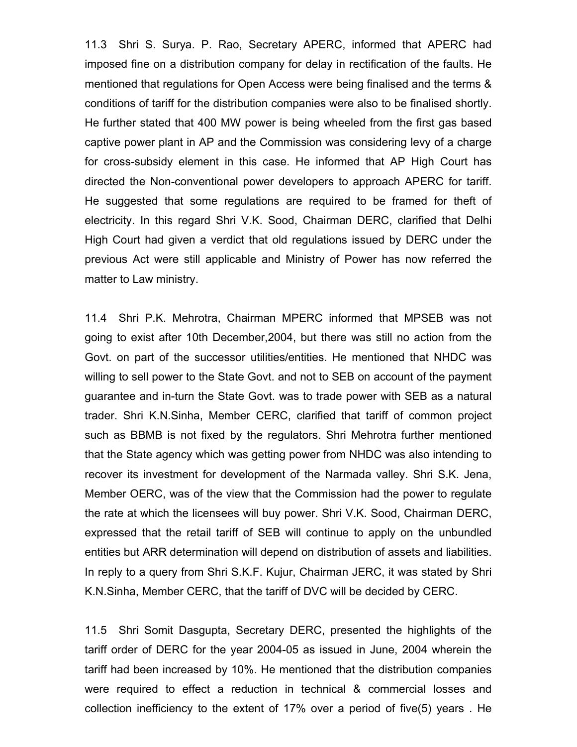11.3 Shri S. Surya. P. Rao, Secretary APERC, informed that APERC had imposed fine on a distribution company for delay in rectification of the faults. He mentioned that regulations for Open Access were being finalised and the terms & conditions of tariff for the distribution companies were also to be finalised shortly. He further stated that 400 MW power is being wheeled from the first gas based captive power plant in AP and the Commission was considering levy of a charge for cross-subsidy element in this case. He informed that AP High Court has directed the Non-conventional power developers to approach APERC for tariff. He suggested that some regulations are required to be framed for theft of electricity. In this regard Shri V.K. Sood, Chairman DERC, clarified that Delhi High Court had given a verdict that old regulations issued by DERC under the previous Act were still applicable and Ministry of Power has now referred the matter to Law ministry.

11.4 Shri P.K. Mehrotra, Chairman MPERC informed that MPSEB was not going to exist after 10th December,2004, but there was still no action from the Govt. on part of the successor utilities/entities. He mentioned that NHDC was willing to sell power to the State Govt. and not to SEB on account of the payment guarantee and in-turn the State Govt. was to trade power with SEB as a natural trader. Shri K.N.Sinha, Member CERC, clarified that tariff of common project such as BBMB is not fixed by the regulators. Shri Mehrotra further mentioned that the State agency which was getting power from NHDC was also intending to recover its investment for development of the Narmada valley. Shri S.K. Jena, Member OERC, was of the view that the Commission had the power to regulate the rate at which the licensees will buy power. Shri V.K. Sood, Chairman DERC, expressed that the retail tariff of SEB will continue to apply on the unbundled entities but ARR determination will depend on distribution of assets and liabilities. In reply to a query from Shri S.K.F. Kujur, Chairman JERC, it was stated by Shri K.N.Sinha, Member CERC, that the tariff of DVC will be decided by CERC.

11.5 Shri Somit Dasgupta, Secretary DERC, presented the highlights of the tariff order of DERC for the year 2004-05 as issued in June, 2004 wherein the tariff had been increased by 10%. He mentioned that the distribution companies were required to effect a reduction in technical & commercial losses and collection inefficiency to the extent of 17% over a period of five(5) years . He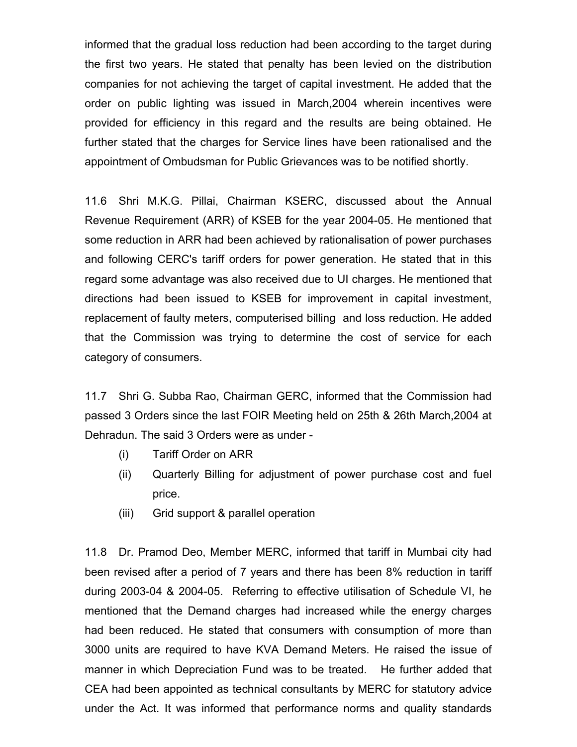informed that the gradual loss reduction had been according to the target during the first two years. He stated that penalty has been levied on the distribution companies for not achieving the target of capital investment. He added that the order on public lighting was issued in March,2004 wherein incentives were provided for efficiency in this regard and the results are being obtained. He further stated that the charges for Service lines have been rationalised and the appointment of Ombudsman for Public Grievances was to be notified shortly.

11.6 Shri M.K.G. Pillai, Chairman KSERC, discussed about the Annual Revenue Requirement (ARR) of KSEB for the year 2004-05. He mentioned that some reduction in ARR had been achieved by rationalisation of power purchases and following CERC's tariff orders for power generation. He stated that in this regard some advantage was also received due to UI charges. He mentioned that directions had been issued to KSEB for improvement in capital investment, replacement of faulty meters, computerised billing and loss reduction. He added that the Commission was trying to determine the cost of service for each category of consumers.

11.7 Shri G. Subba Rao, Chairman GERC, informed that the Commission had passed 3 Orders since the last FOIR Meeting held on 25th & 26th March,2004 at Dehradun. The said 3 Orders were as under -

- (i) Tariff Order on ARR
- (ii) Quarterly Billing for adjustment of power purchase cost and fuel price.
- (iii) Grid support & parallel operation

11.8 Dr. Pramod Deo, Member MERC, informed that tariff in Mumbai city had been revised after a period of 7 years and there has been 8% reduction in tariff during 2003-04 & 2004-05. Referring to effective utilisation of Schedule VI, he mentioned that the Demand charges had increased while the energy charges had been reduced. He stated that consumers with consumption of more than 3000 units are required to have KVA Demand Meters. He raised the issue of manner in which Depreciation Fund was to be treated. He further added that CEA had been appointed as technical consultants by MERC for statutory advice under the Act. It was informed that performance norms and quality standards